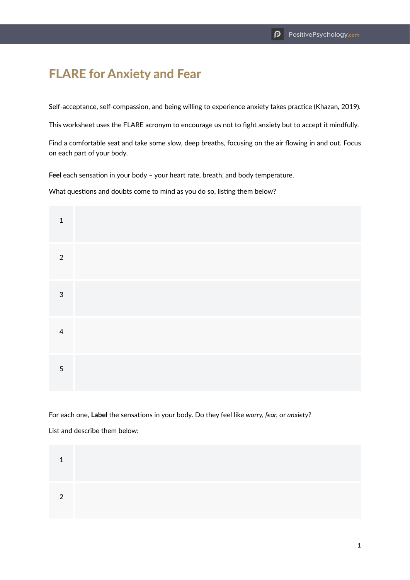## FLARE for Anxiety and Fear

Self-acceptance, self-compassion, and being willing to experience anxiety takes practice (Khazan, 2019).

This worksheet uses the FLARE acronym to encourage us not to fight anxiety but to accept it mindfully.

Find a comfortable seat and take some slow, deep breaths, focusing on the air flowing in and out. Focus on each part of your body.

**Feel** each sensation in your body – your heart rate, breath, and body temperature.

What questions and doubts come to mind as you do so, listing them below?

| $\mathbf{1}$   |  |  |  |
|----------------|--|--|--|
| $\overline{2}$ |  |  |  |
| $\mathfrak{S}$ |  |  |  |
| $\overline{4}$ |  |  |  |
| $\sqrt{5}$     |  |  |  |

For each one, **Label** the sensations in your body. Do they feel like *worry, fear,* or *anxiety*? List and describe them below: